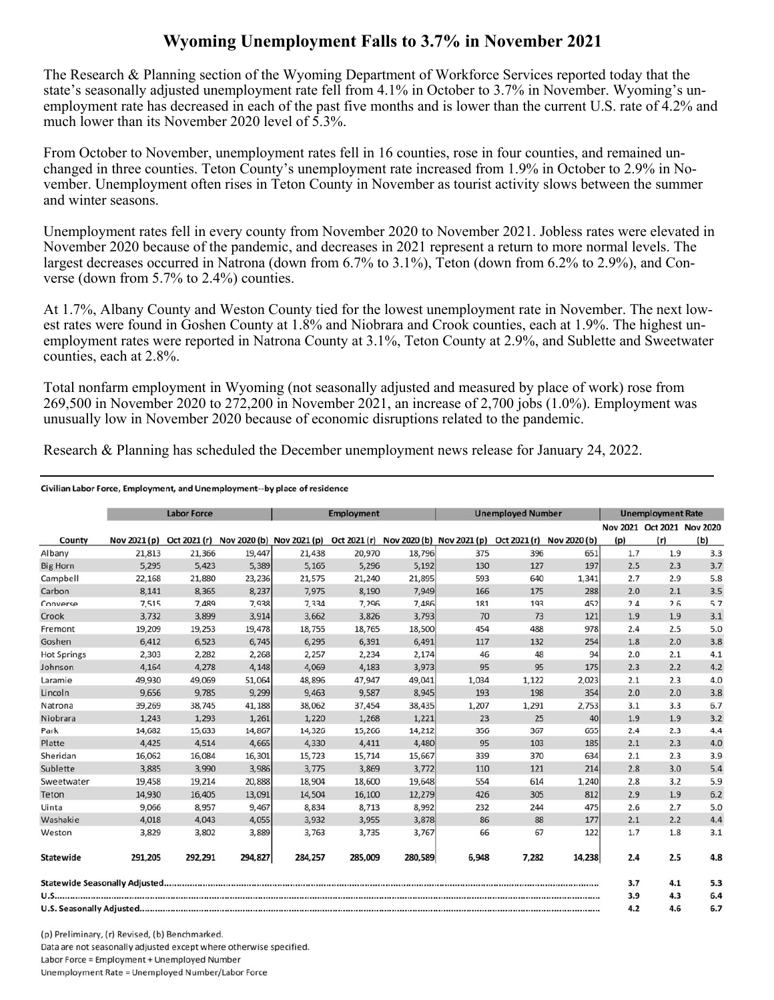## **Wyoming Unemployment Falls to 3.7% in November 2021**

The Research & Planning section of the Wyoming Department of Workforce Services reported today that the state's seasonally adjusted unemployment rate fell from 4.1% in October to 3.7% in November. Wyoming's unemployment rate has decreased in each of the past five months and is lower than the current U.S. rate of 4.2% and much lower than its November 2020 level of 5.3%.

From October to November, unemployment rates fell in 16 counties, rose in four counties, and remained unchanged in three counties. Teton County's unemployment rate increased from 1.9% in October to 2.9% in November. Unemployment often rises in Teton County in November as tourist activity slows between the summer and winter seasons.

Unemployment rates fell in every county from November 2020 to November 2021. Jobless rates were elevated in November 2020 because of the pandemic, and decreases in 2021 represent a return to more normal levels. The largest decreases occurred in Natrona (down from 6.7% to 3.1%), Teton (down from 6.2% to 2.9%), and Converse (down from 5.7% to 2.4%) counties.

At 1.7%, Albany County and Weston County tied for the lowest unemployment rate in November. The next lowest rates were found in Goshen County at 1.8% and Niobrara and Crook counties, each at 1.9%. The highest unemployment rates were reported in Natrona County at 3.1%, Teton County at 2.9%, and Sublette and Sweetwater counties, each at 2.8%.

Total nonfarm employment in Wyoming (not seasonally adjusted and measured by place of work) rose from 269,500 in November 2020 to 272,200 in November 2021, an increase of 2,700 jobs (1.0%). Employment was unusually low in November 2020 because of economic disruptions related to the pandemic.

Research & Planning has scheduled the December unemployment news release for January 24, 2022.

## Civilian Labor Force, Employment, and Unemployment--by place of residence

|                    |              | <b>Labor Force</b> |         |                                                                               | <b>Employment</b> |         |       | <b>Unemployed Number</b> |                           |     | <b>Unemployment Rate</b> |                                   |
|--------------------|--------------|--------------------|---------|-------------------------------------------------------------------------------|-------------------|---------|-------|--------------------------|---------------------------|-----|--------------------------|-----------------------------------|
| County             | Nov 2021 (p) |                    |         | Oct 2021 (r) Nov 2020 (b) Nov 2021 (p) Oct 2021 (r) Nov 2020 (b) Nov 2021 (p) |                   |         |       |                          | Oct 2021 (r) Nov 2020 (b) | (p) | (r)                      | Nov 2021 Oct 2021 Nov 2020<br>(b) |
| Albany             | 21,813       | 21,366             | 19,447  | 21,438                                                                        | 20,970            | 18,796  | 375   | 396                      | 651                       | 1.7 | 1.9                      | 3.3                               |
| <b>Big Horn</b>    | 5,295        | 5,423              | 5,389   | 5,165                                                                         | 5,296             | 5,192   | 130   | 127                      | 197                       | 2.5 | 2.3                      | 3.7                               |
| Campbell           | 22,168       | 21,880             | 23,236  | 21,575                                                                        | 21,240            | 21,895  | 593   | 640                      | 1,341                     | 2.7 | 2.9                      | 5.8                               |
| Carbon             | 8.141        | 8.365              | 8,237   | 7.975                                                                         | 8,190             | 7,949   | 166   | 175                      | 288                       | 2.0 | 2.1                      | 3.5                               |
| Converse           | 7,515        | 7,489              | 7,938   | 7,334                                                                         | 7,296             | 7,486   | 181   | 193                      | 452                       | 2.4 | 2.6                      | 5.7                               |
| Crook              | 3,732        | 3,899              | 3,914   | 3,662                                                                         | 3,826             | 3,793   | 70    | 73                       | 121                       | 1.9 | 1.9                      | 3.1                               |
| Fremont            | 19,209       | 19,253             | 19,478  | 18,755                                                                        | 18,765            | 18,500  | 454   | 488                      | 978                       | 2.4 | 2.5                      | 5.0                               |
| Goshen             | 6,412        | 6,523              | 6,745   | 6,295                                                                         | 6,391             | 6,491   | 117   | 132                      | 254                       | 1.8 | 2.0                      | 3.8                               |
| <b>Hot Springs</b> | 2,303        | 2,282              | 2,268   | 2,257                                                                         | 2,234             | 2,174   | 46    | 48                       | 94                        | 2.0 | 2.1                      | 4.1                               |
| Johnson            | 4,164        | 4,278              | 4,148   | 4,069                                                                         | 4,183             | 3,973   | 95    | 95                       | 175                       | 2.3 | 2.2                      | 4.2                               |
| Laramie            | 49,930       | 49,069             | 51,064  | 48,896                                                                        | 47,947            | 49,041  | 1,034 | 1,122                    | 2,023                     | 2.1 | 2.3                      | 4.0                               |
| Lincoln            | 9,656        | 9,785              | 9,299   | 9,463                                                                         | 9,587             | 8,945   | 193   | 198                      | 354                       | 2.0 | 2.0                      | 3.8                               |
| Natrona            | 39,269       | 38,745             | 41,188  | 38,062                                                                        | 37,454            | 38,435  | 1,207 | 1,291                    | 2,753                     | 3.1 | 3.3                      | 6.7                               |
| Niobrara           | 1,243        | 1,293              | 1,261   | 1,220                                                                         | 1,268             | 1,221   | 23    | 25                       | 40                        | 1.9 | 1.9                      | 3.2                               |
| Park               | 14,682       | 15,633             | 14,867  | 14,326                                                                        | 15,266            | 14,212  | 356   | 367                      | 655                       | 2.4 | 2.3                      | 4.4                               |
| Platte             | 4,425        | 4,514              | 4,665   | 4,330                                                                         | 4,411             | 4,480   | 95    | 103                      | 185                       | 2.1 | 2.3                      | 4.0                               |
| Sheridan           | 16,062       | 16,084             | 16,301  | 15,723                                                                        | 15,714            | 15,667  | 339   | 370                      | 634                       | 2.1 | 2.3                      | 3.9                               |
| Sublette           | 3,885        | 3,990              | 3,986   | 3,775                                                                         | 3,869             | 3,772   | 110   | 121                      | 214                       | 2.8 | 3.0                      | 5.4                               |
| Sweetwater         | 19,458       | 19,214             | 20,888  | 18,904                                                                        | 18,600            | 19,648  | 554   | 614                      | 1,240                     | 2.8 | 3.2                      | 5.9                               |
| Teton              | 14,930       | 16,405             | 13,091  | 14,504                                                                        | 16,100            | 12,279  | 426   | 305                      | 812                       | 2.9 | 1.9                      | 6.2                               |
| Uinta              | 9,066        | 8,957              | 9,467   | 8,834                                                                         | 8,713             | 8,992   | 232   | 244                      | 475                       | 2.6 | 2.7                      | 5.0                               |
| Washakie           | 4,018        | 4,043              | 4,055   | 3,932                                                                         | 3,955             | 3,878   | 86    | 88                       | 177                       | 2.1 | 2.2                      | 4.4                               |
| Weston             | 3,829        | 3,802              | 3,889   | 3,763                                                                         | 3,735             | 3,767   | 66    | 67                       | 122                       | 1.7 | 1.8                      | 3.1                               |
| Statewide          | 291,205      | 292,291            | 294,827 | 284,257                                                                       | 285,009           | 280,589 | 6,948 | 7,282                    | 14,238                    | 2.4 | 2.5                      | 4.8                               |
|                    |              |                    |         |                                                                               |                   |         |       |                          |                           | 3.7 | 4.1                      | 5.3                               |
|                    |              |                    |         |                                                                               |                   |         |       |                          |                           | 3.9 | 4.3                      | 6.4                               |
|                    |              |                    |         |                                                                               |                   |         |       |                          |                           | 4.2 | 4.6                      | 6.7                               |

(p) Preliminary, (r) Revised, (b) Benchmarked. Data are not seasonally adjusted except where otherwise specified. Labor Force = Employment + Unemployed Number Unemployment Rate = Unemployed Number/Labor Force